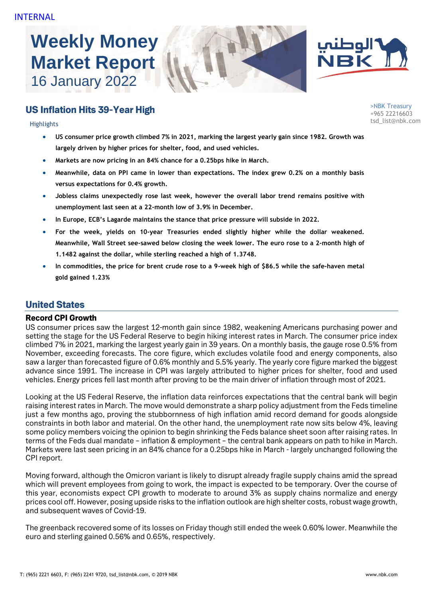# **Weekly Money Market Report** 16 January 2022





## US Inflation Hits 39-Year High

tsd\_list@nbk.com Highlights

>NBK Treasury +965 22216603

- **US consumer price growth climbed 7% in 2021, marking the largest yearly gain since 1982. Growth was largely driven by higher prices for shelter, food, and used vehicles.**
- **Markets are now pricing in an 84% chance for a 0.25bps hike in March.**
- **Meanwhile, data on PPI came in lower than expectations. The index grew 0.2% on a monthly basis versus expectations for 0.4% growth.**
- **Jobless claims unexpectedly rose last week, however the overall labor trend remains positive with unemployment last seen at a 22-month low of 3.9% in December.**
- **In Europe, ECB's Lagarde maintains the stance that price pressure will subside in 2022.**
- **For the week, yields on 10-year Treasuries ended slightly higher while the dollar weakened. Meanwhile, Wall Street see-sawed below closing the week lower. The euro rose to a 2-month high of 1.1482 against the dollar, while sterling reached a high of 1.3748.**
- **In commodities, the price for brent crude rose to a 9-week high of \$86.5 while the safe-haven metal gold gained 1.23%**

### United States

#### Record CPI Growth

US consumer prices saw the largest 12-month gain since 1982, weakening Americans purchasing power and setting the stage for the US Federal Reserve to begin hiking interest rates in March. The consumer price index climbed 7% in 2021, marking the largest yearly gain in 39 years. On a monthly basis, the gauge rose 0.5% from November, exceeding forecasts. The core figure, which excludes volatile food and energy components, also saw a larger than forecasted figure of 0.6% monthly and 5.5% yearly. The yearly core figure marked the biggest advance since 1991. The increase in CPI was largely attributed to higher prices for shelter, food and used vehicles. Energy prices fell last month after proving to be the main driver of inflation through most of 2021.

Looking at the US Federal Reserve, the inflation data reinforces expectations that the central bank will begin raising interest rates in March. The move would demonstrate a sharp policy adjustment from the Feds timeline just a few months ago, proving the stubbornness of high inflation amid record demand for goods alongside constraints in both labor and material. On the other hand, the unemployment rate now sits below 4%, leaving some policy members voicing the opinion to begin shrinking the Feds balance sheet soon after raising rates. In terms of the Feds dual mandate – inflation & employment – the central bank appears on path to hike in March. Markets were last seen pricing in an 84% chance for a 0.25bps hike in March - largely unchanged following the CPI report.

Moving forward, although the Omicron variant is likely to disrupt already fragile supply chains amid the spread which will prevent employees from going to work, the impact is expected to be temporary. Over the course of this year, economists expect CPI growth to moderate to around 3% as supply chains normalize and energy prices cool off. However, posing upside risks to the inflation outlook are high shelter costs, robust wage growth, and subsequent waves of Covid-19.

The greenback recovered some of its losses on Friday though still ended the week 0.60% lower. Meanwhile the euro and sterling gained 0.56% and 0.65%, respectively.